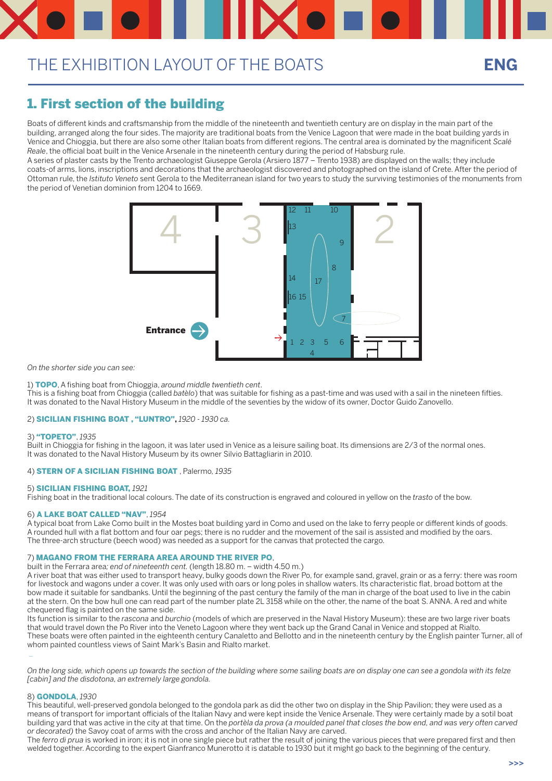### 1. First section of the building

Boats of different kinds and craftsmanship from the middle of the nineteenth and twentieth century are on display in the main part of the building, arranged along the four sides. The majority are traditional boats from the Venice Lagoon that were made in the boat building yards in Venice and Chioggia, but there are also some other Italian boats from different regions. The central area is dominated by the magnificent *Scalé Reale*, the official boat built in the Venice Arsenale in the nineteenth century during the period of Habsburg rule.

A series of plaster casts by the Trento archaeologist Giuseppe Gerola (Arsiero 1877 – Trento 1938) are displayed on the walls; they include coats-of arms, lions, inscriptions and decorations that the archaeologist discovered and photographed on the island of Crete. After the period of Ottoman rule, the *Istituto Veneto* sent Gerola to the Mediterranean island for two years to study the surviving testimonies of the monuments from the period of Venetian dominion from 1204 to 1669.

*On the shorter side you can see:* 

1) TOPO, A fishing boat from Chioggia, *around middle twentieth cent*.

This is a fishing boat from Chioggia (called *batèlo*) that was suitable for fishing as a past-time and was used with a sail in the nineteen fifties. It was donated to the Naval History Museum in the middle of the seventies by the widow of its owner, Doctor Guido Zanovello.

#### 2) SICILIAN FISHING BOAT , "LUNTRO"**,** *1920 - 1930 ca.*

#### 3) "TOPETO", *1935*

Built in Chioggia for fishing in the lagoon, it was later used in Venice as a leisure sailing boat. Its dimensions are 2/3 of the normal ones. It was donated to the Naval History Museum by its owner Silvio Battagliarin in 2010.

#### 4) STERN OF A SICILIAN FISHING BOAT , Palermo*, 1935*

#### 5) SICILIAN FISHING BOAT, *1921*

Fishing boat in the traditional local colours. The date of its construction is engraved and coloured in yellow on the *trasto* of the bow.

#### 6) A LAKE BOAT CALLED "NAV", *1954*

A typical boat from Lake Como built in the Mostes boat building yard in Como and used on the lake to ferry people or different kinds of goods. A rounded hull with a flat bottom and four oar pegs; there is no rudder and the movement of the sail is assisted and modified by the oars. The three-arch structure (beech wood) was needed as a support for the canvas that protected the cargo.

#### 7) MAGANO FROM THE FERRARA AREA AROUND THE RIVER PO,

built in the Ferrara area*; end of nineteenth cent.* (length 18.80 m. – width 4.50 m.)

A river boat that was either used to transport heavy, bulky goods down the River Po, for example sand, gravel, grain or as a ferry: there was room for livestock and wagons under a cover. It was only used with oars or long poles in shallow waters. Its characteristic flat, broad bottom at the

bow made it suitable for sandbanks. Until the beginning of the past century the family of the man in charge of the boat used to live in the cabin at the stern. On the bow hull one can read part of the number plate 2L 3158 while on the other, the name of the boat S. ANNA. A red and white chequered flag is painted on the same side.

Its function is similar to the *rascona* and *burchio* (models of which are preserved in the Naval History Museum): these are two large river boats that would travel down the Po River into the Veneto Lagoon where they went back up the Grand Canal in Venice and stopped at Rialto. These boats were often painted in the eighteenth century Canaletto and Bellotto and in the nineteenth century by the English painter Turner, all of whom painted countless views of Saint Mark's Basin and Rialto market.

\_

*On the long side, which opens up towards the section of the building where some sailing boats are on display one can see a gondola with its felze [cabin] and the disdotona, an extremely large gondola.*

#### 8) GONDOLA, *1930*

This beautiful, well-preserved gondola belonged to the gondola park as did the other two on display in the Ship Pavilion; they were used as a means of transport for important officials of the Italian Navy and were kept inside the Venice Arsenale. They were certainly made by a sotil boat building yard that was active in the city at that time. On the *portèla da prova (a moulded panel that closes the bow end, and was very often carved or decorated)* the Savoy coat of arms with the cross and anchor of the Italian Navy are carved.

The *ferro di prua* is worked in iron; it is not in one single piece but rather the result of joining the various pieces that were prepared first and then welded together. According to the expert Gianfranco Munerotto it is datable to 1930 but it might go back to the beginning of the century.

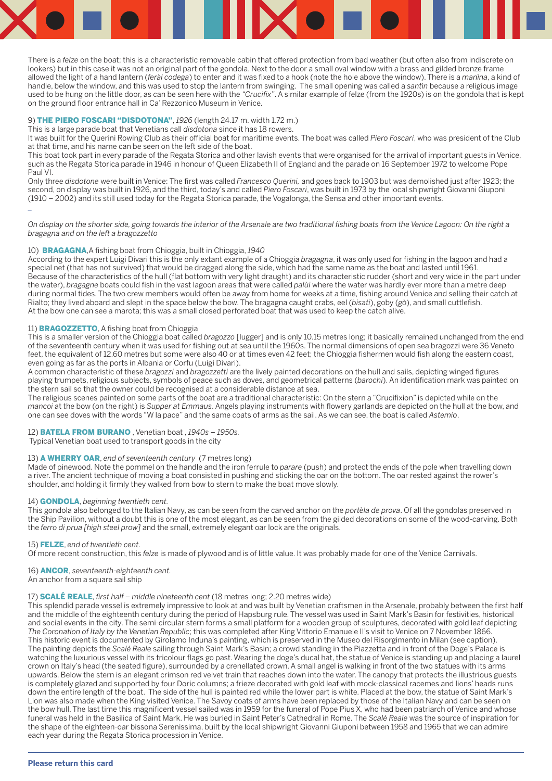

There is a *felze* on the boat; this is a characteristic removable cabin that offered protection from bad weather (but often also from indiscrete on lookers) but in this case it was not an original part of the gondola. Next to the door a small oval window with a brass and gilded bronze frame allowed the light of a hand lantern (*feràl codega*) to enter and it was fixed to a hook (note the hole above the window). There is a *manìna*, a kind of handle, below the window, and this was used to stop the lantern from swinging. The small opening was called a *santìn* because a religious image used to be hung on the little door, as can be seen here with the *"Crucifix"*. A similar example of felze (from the 1920s) is on the gondola that is kept on the ground floor entrance hall in Ca' Rezzonico Museum in Venice.

#### 9) THE PIERO FOSCARI "DISDOTONA", *1926* (length 24.17 m. width 1.72 m.)

This is a large parade boat that Venetians call *disdotona* since it has 18 rowers.

It was built for the Querini Rowing Club as their official boat for maritime events. The boat was called *Piero Foscari*, who was president of the Club at that time, and his name can be seen on the left side of the boat.

This boat took part in every parade of the Regata Storica and other lavish events that were organised for the arrival of important guests in Venice, such as the Regata Storica parade in 1946 in honour of Queen Elizabeth II of England and the parade on 16 September 1972 to welcome Pope Paul VI.

Only three *disdotone* were built in Venice: The first was called *Francesco Querini,* and goes back to 1903 but was demolished just after 1923; the second, on display was built in 1926, and the third, today's and called *Piero Foscari*, was built in 1973 by the local shipwright Giovanni Giuponi (1910 – 2002) and its still used today for the Regata Storica parade, the Vogalonga, the Sensa and other important events.

\_

*On display on the shorter side, going towards the interior of the Arsenale are two traditional fishing boats from the Venice Lagoon: On the right a bragagna and on the left a bragozzetto*

#### 10) BRAGAGNA,A fishing boat from Chioggia, built in Chioggia, *1940*

According to the expert Luigi Divari this is the only extant example of a Chioggia *bragagna*, it was only used for fishing in the lagoon and had a special net (that has not survived) that would be dragged along the side, which had the same name as the boat and lasted until 1961. Because of the characteristics of the hull (flat bottom with very light draught) and its characteristic rudder (short and very wide in the part under the water), *bragagne* boats could fish in the vast lagoon areas that were called *palùi* where the water was hardly ever more than a metre deep during normal tides. The two crew members would often be away from home for weeks at a time, fishing around Venice and selling their catch at Rialto; they lived aboard and slept in the space below the bow. The bragagna caught crabs, eel (*bisati*), goby (*gò*), and small cuttlefish. At the bow one can see a marota; this was a small closed perforated boat that was used to keep the catch alive.

### 11) **BRAGOZZETTO**, A fishing boat from Chioggia

This is a smaller version of the Chioggia boat called *bragozzo* [lugger] and is only 10.15 metres long; it basically remained unchanged from the end of the seventeenth century when it was used for fishing out at sea until the 1960s. The normal dimensions of open sea bragozzi were 36 Veneto feet, the equivalent of 12.60 metres but some were also 40 or at times even 42 feet; the Chioggia fishermen would fish along the eastern coast, even going as far as the ports in Albania or Corfu (Luigi Divari).

A common characteristic of these *bragozzi* and *bragozzetti* are the lively painted decorations on the hull and sails, depicting winged figures playing trumpets, religious subjects, symbols of peace such as doves, and geometrical patterns (*barochi*). An identification mark was painted on the stern sail so that the owner could be recognised at a considerable distance at sea.

The religious scenes painted on some parts of the boat are a traditional characteristic: On the stern a "Crucifixion" is depicted while on the *mancoi* at the bow (on the right) is *Supper at Emmaus*. Angels playing instruments with flowery garlands are depicted on the hull at the bow, and one can see doves with the words "W la pace" and the same coats of arms as the sail. As we can see, the boat is called *Astemio*.

### 12) BATELA FROM BURANO , Venetian boat , *1940s – 1950s.*

Typical Venetian boat used to transport goods in the city

### 13) A WHERRY OAR, *end of seventeenth century* (7 metres long)

Made of pinewood. Note the pommel on the handle and the iron ferrule to *parare* (push) and protect the ends of the pole when travelling down a river. The ancient technique of moving a boat consisted in pushing and sticking the oar on the bottom. The oar rested against the rower's shoulder, and holding it firmly they walked from bow to stern to make the boat move slowly.

#### 14) GONDOLA, *beginning twentieth cent.*

This gondola also belonged to the Italian Navy, as can be seen from the carved anchor on the *portèla de prova*. Of all the gondolas preserved in the Ship Pavilion, without a doubt this is one of the most elegant, as can be seen from the gilded decorations on some of the wood-carving. Both the *ferro di prua [high steel prow]* and the small, extremely elegant oar lock are the originals.

#### 15) FELZE, *end of twentieth cent.*

Of more recent construction, this *felze* is made of plywood and is of little value. It was probably made for one of the Venice Carnivals.

### 16) ANCOR, *seventeenth-eighteenth cent.*

An anchor from a square sail ship

17) SCALÉ REALE, *first half – middle nineteenth cent* (18 metres long; 2.20 metres wide)

This splendid parade vessel is extremely impressive to look at and was built by Venetian craftsmen in the Arsenale, probably between the first half and the middle of the eighteenth century during the period of Hapsburg rule. The vessel was used in Saint Mark's Basin for festivities, historical and social events in the city. The semi-circular stern forms a small platform for a wooden group of sculptures, decorated with gold leaf depicting *The Coronation of Italy by the Venetian Republic*; this was completed after King Vittorio Emanuele II's visit to Venice on 7 November 1866. This historic event is documented by Girolamo Induna's painting, which is preserved in the Museo del Risorgimento in Milan (see caption). The painting depicts the *Scalé Reale* sailing through Saint Mark's Basin; a crowd standing in the Piazzetta and in front of the Doge's Palace is watching the luxurious vessel with its tricolour flags go past. Wearing the doge's ducal hat, the statue of Venice is standing up and placing a laurel crown on Italy's head (the seated figure), surrounded by a crenellated crown. A small angel is walking in front of the two statues with its arms upwards. Below the stern is an elegant crimson red velvet train that reaches down into the water. The canopy that protects the illustrious guests is completely glazed and supported by four Doric columns; a frieze decorated with gold leaf with mock-classical racemes and lions' heads runs down the entire length of the boat. The side of the hull is painted red while the lower part is white. Placed at the bow, the statue of Saint Mark's Lion was also made when the King visited Venice. The Savoy coats of arms have been replaced by those of the Italian Navy and can be seen on the bow hull. The last time this magnificent vessel sailed was in 1959 for the funeral of Pope Pius X, who had been patriarch of Venice and whose funeral was held in the Basilica of Saint Mark. He was buried in Saint Peter's Cathedral in Rome. The *Scalé Reale* was the source of inspiration for the shape of the eighteen-oar bissona Serenissima, built by the local shipwright Giovanni Giuponi between 1958 and 1965 that we can admire each year during the Regata Storica procession in Venice.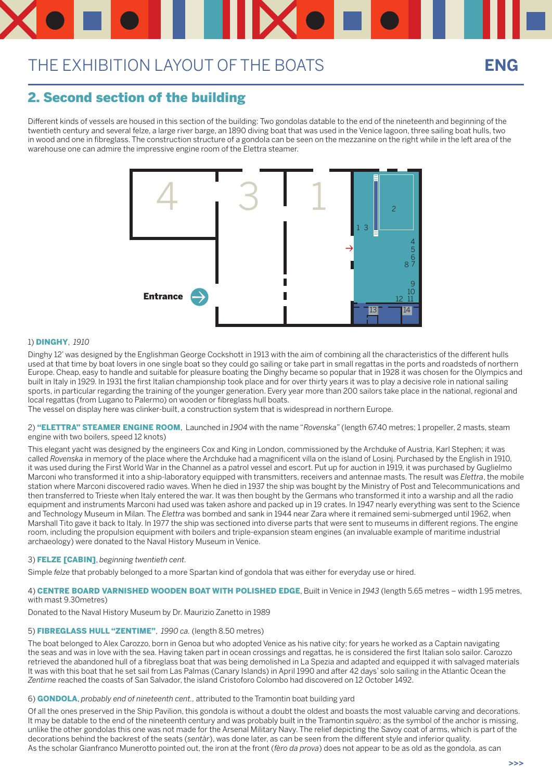### 2. Second section of the building

Different kinds of vessels are housed in this section of the building: Two gondolas datable to the end of the nineteenth and beginning of the twentieth century and several felze, a large river barge, an 1890 diving boat that was used in the Venice lagoon, three sailing boat hulls, two in wood and one in fibreglass. The construction structure of a gondola can be seen on the mezzanine on the right while in the left area of the warehouse one can admire the impressive engine room of the Elettra steamer.

#### 1) DINGHY, *1910*

Dinghy 12' was designed by the Englishman George Cockshott in 1913 with the aim of combining all the characteristics of the different hulls used at that time by boat lovers in one single boat so they could go sailing or take part in small regattas in the ports and roadsteds of northern Europe. Cheap, easy to handle and suitable for pleasure boating the Dinghy became so popular that in 1928 it was chosen for the Olympics and built in Italy in 1929. In 1931 the first Italian championship took place and for over thirty years it was to play a decisive role in national sailing sports, in particular regarding the training of the younger generation. Every year more than 200 sailors take place in the national, regional and local regattas (from Lugano to Palermo) on wooden or fibreglass hull boats.

The vessel on display here was clinker-built, a construction system that is widespread in northern Europe.

2) "ELETTRA" STEAMER ENGINE ROOM, Launched in *1904* with the name "*Rovenska*" (length 67.40 metres; 1 propeller, 2 masts, steam engine with two boilers, speed 12 knots)

This elegant yacht was designed by the engineers Cox and King in London, commissioned by the Archduke of Austria, Karl Stephen; it was called *Rovenska* in memory of the place where the Archduke had a magnificent villa on the island of Losinj. Purchased by the English in 1910, it was used during the First World War in the Channel as a patrol vessel and escort. Put up for auction in 1919, it was purchased by Guglielmo Marconi who transformed it into a ship-laboratory equipped with transmitters, receivers and antennae masts. The result was *Elettra*, the mobile station where Marconi discovered radio waves. When he died in 1937 the ship was bought by the Ministry of Post and Telecommunications and then transferred to Trieste when Italy entered the war. It was then bought by the Germans who transformed it into a warship and all the radio equipment and instruments Marconi had used was taken ashore and packed up in 19 crates. In 1947 nearly everything was sent to the Science and Technology Museum in Milan. The *Elettra* was bombed and sank in 1944 near Zara where it remained semi-submerged until 1962, when Marshall Tito gave it back to Italy. In 1977 the ship was sectioned into diverse parts that were sent to museums in different regions. The engine room, including the propulsion equipment with boilers and triple-expansion steam engines (an invaluable example of maritime industrial archaeology) were donated to the Naval History Museum in Venice.

### 3) FELZE [CABIN], *beginning twentieth cent.*

Simple *felze* that probably belonged to a more Spartan kind of gondola that was either for everyday use or hired.

#### 4) CENTRE BOARD VARNISHED WOODEN BOAT WITH POLISHED EDGE, Built in Venice in *1943* (length 5.65 metres – width 1.95 metres, with mast 9.30metres)

Donated to the Naval History Museum by Dr. Maurizio Zanetto in 1989

### 5) FIBREGLASS HULL "ZENTIME", *1990 ca.* (length 8.50 metres)

The boat belonged to Alex Carozzo, born in Genoa but who adopted Venice as his native city; for years he worked as a Captain navigating the seas and was in love with the sea. Having taken part in ocean crossings and regattas, he is considered the first Italian solo sailor. Carozzo retrieved the abandoned hull of a fibreglass boat that was being demolished in La Spezia and adapted and equipped it with salvaged materials It was with this boat that he set sail from Las Palmas (Canary Islands) in April 1990 and after 42 days' solo sailing in the Atlantic Ocean the *Zentime* reached the coasts of San Salvador, the island Cristoforo Colombo had discovered on 12 October 1492.

#### 6) GONDOLA, *probably end of nineteenth cent.,* attributed to the Tramontin boat building yard

Of all the ones preserved in the Ship Pavilion, this gondola is without a doubt the oldest and boasts the most valuable carving and decorations. It may be datable to the end of the nineteenth century and was probably built in the Tramontin *squèro*; as the symbol of the anchor is missing, unlike the other gondolas this one was not made for the Arsenal Military Navy. The relief depicting the Savoy coat of arms, which is part of the decorations behind the backrest of the seats (*sentàr*), was done later, as can be seen from the different style and inferior quality. As the scholar Gianfranco Munerotto pointed out, the iron at the front (*fèro da prova*) does not appear to be as old as the gondola, as can

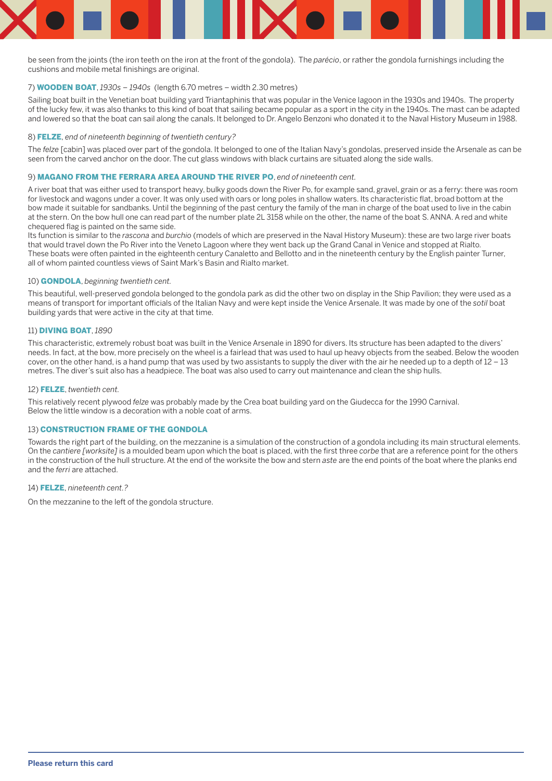

be seen from the joints (the iron teeth on the iron at the front of the gondola). The *parécio*, or rather the gondola furnishings including the cushions and mobile metal finishings are original.

#### 7) WOODEN BOAT, *1930s – 1940s* (length 6.70 metres – width 2.30 metres)

Sailing boat built in the Venetian boat building yard Triantaphinis that was popular in the Venice lagoon in the 1930s and 1940s. The property of the lucky few, it was also thanks to this kind of boat that sailing became popular as a sport in the city in the 1940s. The mast can be adapted and lowered so that the boat can sail along the canals. It belonged to Dr. Angelo Benzoni who donated it to the Naval History Museum in 1988.

#### 8) FELZE, *end of nineteenth beginning of twentieth century?*

The *felze* [cabin] was placed over part of the gondola. It belonged to one of the Italian Navy's gondolas, preserved inside the Arsenale as can be seen from the carved anchor on the door. The cut glass windows with black curtains are situated along the side walls.

#### 9) MAGANO FROM THE FERRARA AREA AROUND THE RIVER PO, *end of nineteenth cent.*

A river boat that was either used to transport heavy, bulky goods down the River Po, for example sand, gravel, grain or as a ferry: there was room for livestock and wagons under a cover. It was only used with oars or long poles in shallow waters. Its characteristic flat, broad bottom at the bow made it suitable for sandbanks. Until the beginning of the past century the family of the man in charge of the boat used to live in the cabin at the stern. On the bow hull one can read part of the number plate 2L 3158 while on the other, the name of the boat S. ANNA. A red and white chequered flag is painted on the same side.

Its function is similar to the *rascona* and *burchio* (models of which are preserved in the Naval History Museum): these are two large river boats that would travel down the Po River into the Veneto Lagoon where they went back up the Grand Canal in Venice and stopped at Rialto. These boats were often painted in the eighteenth century Canaletto and Bellotto and in the nineteenth century by the English painter Turner, all of whom painted countless views of Saint Mark's Basin and Rialto market.

#### 10) GONDOLA, *beginning twentieth cent.*

This beautiful, well-preserved gondola belonged to the gondola park as did the other two on display in the Ship Pavilion; they were used as a means of transport for important officials of the Italian Navy and were kept inside the Venice Arsenale. It was made by one of the *sotil* boat building yards that were active in the city at that time.

#### 11) DIVING BOAT, *1890*

This characteristic, extremely robust boat was built in the Venice Arsenale in 1890 for divers. Its structure has been adapted to the divers' needs. In fact, at the bow, more precisely on the wheel is a fairlead that was used to haul up heavy objects from the seabed. Below the wooden cover, on the other hand, is a hand pump that was used by two assistants to supply the diver with the air he needed up to a depth of  $12 - 13$ metres. The diver's suit also has a headpiece. The boat was also used to carry out maintenance and clean the ship hulls.

#### 12) FELZE, *twentieth cent.*

This relatively recent plywood *felze* was probably made by the Crea boat building yard on the Giudecca for the 1990 Carnival. Below the little window is a decoration with a noble coat of arms.

#### 13) CONSTRUCTION FRAME OF THE GONDOLA

Towards the right part of the building, on the mezzanine is a simulation of the construction of a gondola including its main structural elements. On the *cantiere [worksite]* is a moulded beam upon which the boat is placed, with the first three *corbe* that are a reference point for the others in the construction of the hull structure. At the end of the worksite the bow and stern *aste* are the end points of the boat where the planks end and the *ferri* are attached.

#### 14) FELZE, *nineteenth cent.?*

On the mezzanine to the left of the gondola structure.

**Please return this card**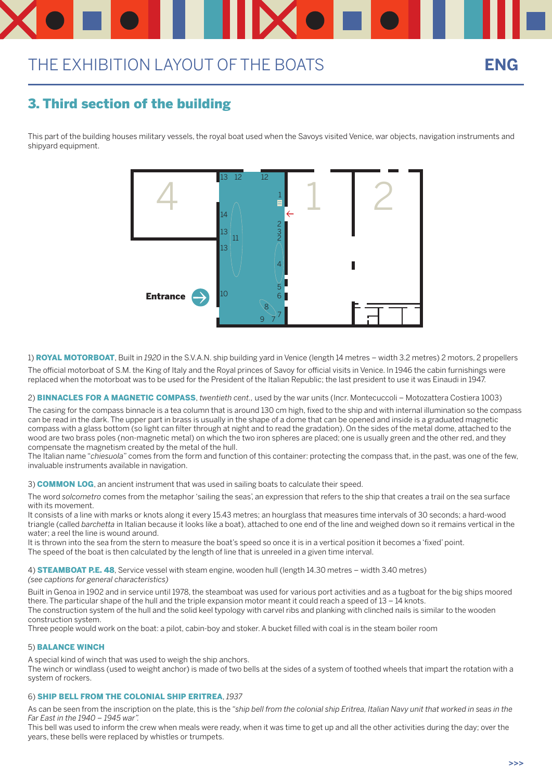## 3. Third section of the building

This part of the building houses military vessels, the royal boat used when the Savoys visited Venice, war objects, navigation instruments and shipyard equipment.

1) ROYAL MOTORBOAT, Built in *1920* in the S.V.A.N. ship building yard in Venice (length 14 metres – width 3.2 metres) 2 motors, 2 propellers

The official motorboat of S.M. the King of Italy and the Royal princes of Savoy for official visits in Venice. In 1946 the cabin furnishings were replaced when the motorboat was to be used for the President of the Italian Republic; the last president to use it was Einaudi in 1947.

2) BINNACLES FOR A MAGNETIC COMPASS, *twentieth cent.,* used by the war units (Incr. Montecuccoli – Motozattera Costiera 1003)

It consists of a line with marks or knots along it every 15.43 metres; an hourglass that measures time intervals of 30 seconds; a hard-wood triangle (called *barchetta* in Italian because it looks like a boat), attached to one end of the line and weighed down so it remains vertical in the water; a reel the line is wound around.

The casing for the compass binnacle is a tea column that is around 130 cm high, fixed to the ship and with internal illumination so the compass can be read in the dark. The upper part in brass is usually in the shape of a dome that can be opened and inside is a graduated magnetic compass with a glass bottom (so light can filter through at night and to read the gradation). On the sides of the metal dome, attached to the wood are two brass poles (non-magnetic metal) on which the two iron spheres are placed; one is usually green and the other red, and they compensate the magnetism created by the metal of the hull.

4) **STEAMBOAT P.E. 48**, Service vessel with steam engine, wooden hull (length 14.30 metres – width 3.40 metres) *(see captions for general characteristics)*

The Italian name "*chiesuola*" comes from the form and function of this container: protecting the compass that, in the past, was one of the few, invaluable instruments available in navigation.

3) **COMMON LOG**, an ancient instrument that was used in sailing boats to calculate their speed.

The word *solcometro* comes from the metaphor 'sailing the seas', an expression that refers to the ship that creates a trail on the sea surface with its movement.

It is thrown into the sea from the stern to measure the boat's speed so once it is in a vertical position it becomes a 'fixed' point. The speed of the boat is then calculated by the length of line that is unreeled in a given time interval.

Built in Genoa in 1902 and in service until 1978, the steamboat was used for various port activities and as a tugboat for the big ships moored there. The particular shape of the hull and the triple expansion motor meant it could reach a speed of 13 – 14 knots. The construction system of the hull and the solid keel typology with carvel ribs and planking with clinched nails is similar to the wooden construction system.

Three people would work on the boat: a pilot, cabin-boy and stoker. A bucket filled with coal is in the steam boiler room

### 5) BALANCE WINCH

A special kind of winch that was used to weigh the ship anchors.

The winch or windlass (used to weight anchor) is made of two bells at the sides of a system of toothed wheels that impart the rotation with a system of rockers.

#### 6) SHIP BELL FROM THE COLONIAL SHIP ERITREA, *1937*

As can be seen from the inscription on the plate, this is the *"ship bell from the colonial ship Eritrea, Italian Navy unit that worked in seas in the Far East in the 1940 – 1945 war".*

This bell was used to inform the crew when meals were ready, when it was time to get up and all the other activities during the day; over the years, these bells were replaced by whistles or trumpets.

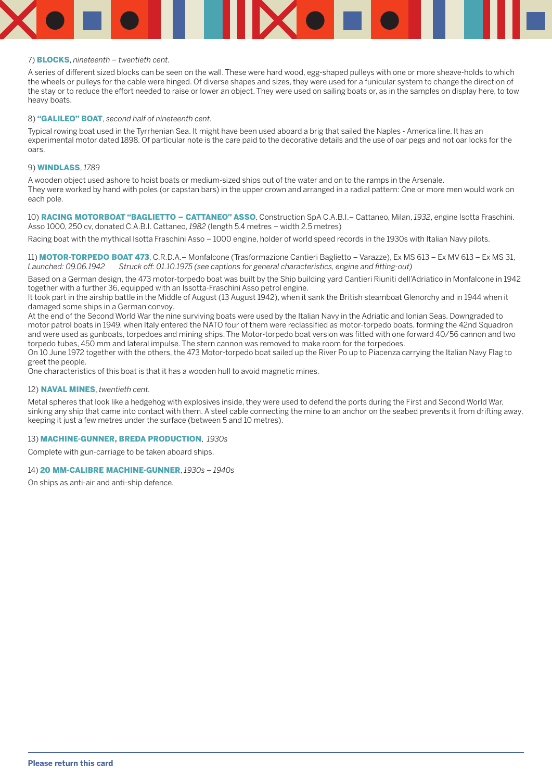#### 7) BLOCKS, *nineteenth – twentieth cent.*

A series of different sized blocks can be seen on the wall. These were hard wood, egg-shaped pulleys with one or more sheave-holds to which the wheels or pulleys for the cable were hinged. Of diverse shapes and sizes, they were used for a funicular system to change the direction of the stay or to reduce the effort needed to raise or lower an object. They were used on sailing boats or, as in the samples on display here, to tow heavy boats.

#### 8) "GALILEO" BOAT, *second half of nineteenth cent.*

Typical rowing boat used in the Tyrrhenian Sea. It might have been used aboard a brig that sailed the Naples - America line. It has an experimental motor dated 1898. Of particular note is the care paid to the decorative details and the use of oar pegs and not oar locks for the oars.

#### 9) WINDLASS, *1789*

11) MOTOR-TORPEDO BOAT 473, C.R.D.A.– Monfalcone (Trasformazione Cantieri Baglietto – Varazze), Ex MS 613 – Ex MV 613 – Ex MS 31, *Launched: 09.06.1942 Struck off: 01.10.1975 (see captions for general characteristics, engine and fitting-out)*

A wooden object used ashore to hoist boats or medium-sized ships out of the water and on to the ramps in the Arsenale. They were worked by hand with poles (or capstan bars) in the upper crown and arranged in a radial pattern: One or more men would work on each pole.

10) RACING MOTORBOAT "BAGLIETTO – CATTANEO" ASSO, Construction SpA C.A.B.I.– Cattaneo, Milan, *1932*, engine Isotta Fraschini. Asso 1000, 250 cv, donated C.A.B.I. Cattaneo, *1982* (length 5.4 metres – width 2.5 metres)

Racing boat with the mythical Isotta Fraschini Asso – 1000 engine, holder of world speed records in the 1930s with Italian Navy pilots.

Based on a German design, the 473 motor-torpedo boat was built by the Ship building yard Cantieri Riuniti dell'Adriatico in Monfalcone in 1942 together with a further 36, equipped with an Issotta-Fraschini Asso petrol engine.

It took part in the airship battle in the Middle of August (13 August 1942), when it sank the British steamboat Glenorchy and in 1944 when it damaged some ships in a German convoy.

At the end of the Second World War the nine surviving boats were used by the Italian Navy in the Adriatic and Ionian Seas. Downgraded to motor patrol boats in 1949, when Italy entered the NATO four of them were reclassified as motor-torpedo boats, forming the 42nd Squadron and were used as gunboats, torpedoes and mining ships. The Motor-torpedo boat version was fitted with one forward 40/56 cannon and two torpedo tubes, 450 mm and lateral impulse. The stern cannon was removed to make room for the torpedoes.

On 10 June 1972 together with the others, the 473 Motor-torpedo boat sailed up the River Po up to Piacenza carrying the Italian Navy Flag to greet the people.

One characteristics of this boat is that it has a wooden hull to avoid magnetic mines.

#### 12) NAVAL MINES, *twentieth cent.*

Metal spheres that look like a hedgehog with explosives inside, they were used to defend the ports during the First and Second World War, sinking any ship that came into contact with them. A steel cable connecting the mine to an anchor on the seabed prevents it from drifting away, keeping it just a few metres under the surface (between 5 and 10 metres).

#### 13) MACHINE-GUNNER, BREDA PRODUCTION, *1930s*

Complete with gun-carriage to be taken aboard ships.

#### 14) 20 MM-CALIBRE MACHINE-GUNNER, *1930s – 1940s*

On ships as anti-air and anti-ship defence.

**Please return this card**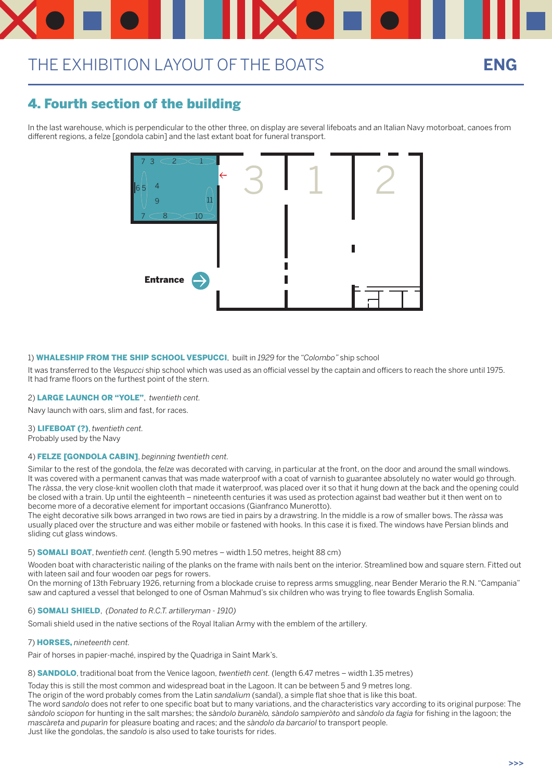## 4. Fourth section of the building

In the last warehouse, which is perpendicular to the other three, on display are several lifeboats and an Italian Navy motorboat, canoes from different regions, a felze [gondola cabin] and the last extant boat for funeral transport.

### 1) WHALESHIP FROM THE SHIP SCHOOL VESPUCCI, built in *1929* for the *"Colombo"* ship school

It was transferred to the *Vespucci* ship school which was used as an official vessel by the captain and officers to reach the shore until 1975. It had frame floors on the furthest point of the stern.

### 2) LARGE LAUNCH OR "YOLE", *twentieth cent.*

Navy launch with oars, slim and fast, for races.

### 3) LIFEBOAT (?), *twentieth cent.*

Probably used by the Navy

### 4) FELZE [GONDOLA CABIN], *beginning twentieth cent.*

Similar to the rest of the gondola, the *felze* was decorated with carving, in particular at the front, on the door and around the small windows. It was covered with a permanent canvas that was made waterproof with a coat of varnish to guarantee absolutely no water would go through. The *ràssa*, the very close-knit woollen cloth that made it waterproof, was placed over it so that it hung down at the back and the opening could be closed with a train. Up until the eighteenth – nineteenth centuries it was used as protection against bad weather but it then went on to become more of a decorative element for important occasions (Gianfranco Munerotto).

The eight decorative silk bows arranged in two rows are tied in pairs by a drawstring. In the middle is a row of smaller bows. The *ràssa* was usually placed over the structure and was either mobile or fastened with hooks. In this case it is fixed. The windows have Persian blinds and sliding cut glass windows.

#### 5) SOMALI BOAT, *twentieth cent.* (length 5.90 metres – width 1.50 metres, height 88 cm)

Wooden boat with characteristic nailing of the planks on the frame with nails bent on the interior. Streamlined bow and square stern. Fitted out with lateen sail and four wooden oar pegs for rowers.

On the morning of 13th February 1926, returning from a blockade cruise to repress arms smuggling, near Bender Merario the R.N. "Campania"

saw and captured a vessel that belonged to one of Osman Mahmud's six children who was trying to flee towards English Somalia.

#### 6) SOMALI SHIELD, *(Donated to R.C.T. artilleryman - 1910)*

Somali shield used in the native sections of the Royal Italian Army with the emblem of the artillery.

7) HORSES, *nineteenth cent.*

Pair of horses in papier-maché, inspired by the Quadriga in Saint Mark's.

8) SANDOLO, traditional boat from the Venice lagoon, *twentieth cent.* (length 6.47 metres – width 1.35 metres)

Today this is still the most common and widespread boat in the Lagoon. It can be between 5 and 9 metres long. The origin of the word probably comes from the Latin *sandalium* (sandal), a simple flat shoe that is like this boat. The word *sandolo* does not refer to one specific boat but to many variations, and the characteristics vary according to its original purpose: The *sàndolo sciopon* for hunting in the salt marshes; the *sàndolo buranèlo, sàndolo sampieròto* and *sàndolo da fagia* for fishing in the lagoon; the *mascàreta* and *puparìn* for pleasure boating and races; and the *sàndolo da barcariol* to transport people. Just like the gondolas, the *sandolo* is also used to take tourists for rides.